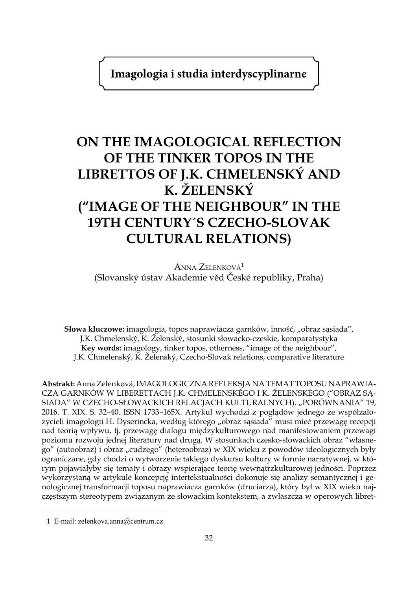**Imagologia i studia interdyscyplinarne**

## **ON THE IMAGOLOGICAL REFLECTION OF THE TINKER TOPOS IN THE LIBRETTOS OF J.K. CHMELENSKÝ AND K. ŽELENSKÝ ("IMAGE OF THE NEIGHBOUR" IN THE 19TH CENTURY´S CZECHO-SLOVAK CULTURAL RELATIONS)**

Anna Zelenková1 (Slovanský ústav Akademie věd České republiky, Praha)

**Słowa kluczowe:** imagologia, topos naprawiacza garnków, inność, "obraz sąsiada", J.K. Chmelenský, K. Želenský, stosunki słowacko-czeskie, komparatystyka **Key words:** imagology, tinker topos, otherness, "image of the neighbour", J.K. Chmelenský, K. Želenský, Czecho-Slovak relations, comparative literature

**Abstrakt:** Anna Zelenková, IMAGOLOGICZNA REFLEKSJA NA TEMAT TOPOSU NAPRAWIA-CZA GARNKÓW W LIBERETTACH J.K. CHMELENSKÉGO I K. ŽELENSKÉGO ("OBRAZ SĄ-SIADA" W CZECHO-SŁOWACKICH RELACJACH KULTURALNYCH). "PORÓWNANIA" 19, 2016. T. XIX. S. 32–40. ISSN 1733–165X. Artykuł wychodzi z poglądów jednego ze współzałożycieli imagologii H. Dyserincka, według którego "obraz sąsiada" musi mieć przewagę recepcji nad teorią wpływu, tj. przewagę dialogu międzykulturowego nad manifestowaniem przewagi poziomu rozwoju jednej literatury nad drugą. W stosunkach czesko-słowackich obraz "własnego" (autoobraz) i obraz "cudzego" (heteroobraz) w XIX wieku z powodów ideologicznych były ograniczane, gdy chodzi o wytworzenie takiego dyskursu kultury w formie narratywnej, w którym pojawiałyby się tematy i obrazy wspierające teorię wewnątrzkulturowej jedności. Poprzez wykorzystaną w artykule koncepcję intertekstualności dokonuje się analizy semantycznej i genologicznej transformacji toposu naprawiacza garnków (druciarza), który był w XIX wieku najczęstszym stereotypem związanym ze słowackim kontekstem, a zwłaszcza w operowych libret-

<sup>1</sup> E-mail: zelenkova.anna@centrum.cz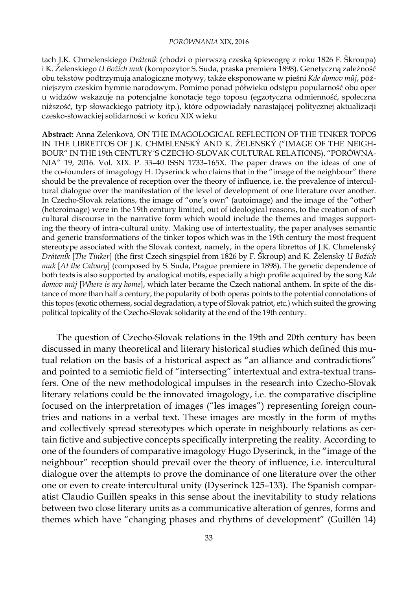## *PORÓWNANIA* XIX, 2016

tach J.K. Chmelenskiego *Dráteník* (chodzi o pierwszą czeską śpiewogrę z roku 1826 F. Škroupa) i K. Želenskiego *U Božích muk* (kompozytor S. Suda, praska premiera 1898). Genetyczną zależność obu tekstów podtrzymują analogiczne motywy, także eksponowane w pieśni *Kde domov můj*, późniejszym czeskim hymnie narodowym. Pomimo ponad półwieku odstępu popularność obu oper u widzów wskazuje na potencjalne konotacje tego toposu (egzotyczna odmienność, społeczna niższość, typ słowackiego patrioty itp.), które odpowiadały narastającej politycznej aktualizacji czesko-słowackiej solidarności w końcu XIX wieku

**Abstract:** Anna Zelenková, ON THE IMAGOLOGICAL REFLECTION OF THE TINKER TOPOS IN THE LIBRETTOS OF J.K. CHMELENSKÝ AND K. ŽELENSKÝ ("IMAGE OF THE NEIGH-BOUR" IN THE 19th CENTURY´S CZECHO-SLOVAK CULTURAL RELATIONS). "PORÓWNA-NIA" 19, 2016. Vol. XIX. P. 33–40 ISSN 1733–165X. The paper draws on the ideas of one of the co-founders of imagology H. Dyserinck who claims that in the "image of the neighbour" there should be the prevalence of reception over the theory of influence, i.e. the prevalence of intercultural dialogue over the manifestation of the level of development of one literature over another. In Czecho-Slovak relations, the image of "one´s own" (autoimage) and the image of the "other" (heteroimage) were in the 19th century limited, out of ideological reasons, to the creation of such cultural discourse in the narrative form which would include the themes and images supporting the theory of intra-cultural unity. Making use of intertextuality, the paper analyses semantic and generic transformations of the tinker topos which was in the 19th century the most frequent stereotype associated with the Slovak context, namely, in the opera librettos of J.K. Chmelenský *Dráteník* [*The Tinker*] (the first Czech singspiel from 1826 by F. Škroup) and K. Želenský *U Božích muk* [*At the Calvary*] (composed by S. Suda, Prague premiere in 1898). The genetic dependence of both texts is also supported by analogical motifs, especially a high profile acquired by the song *Kde domov můj* [*Where is my home*], which later became the Czech national anthem. In spite of the distance of more than half a century, the popularity of both operas points to the potential connotations of this topos (exotic otherness, social degradation, a type of Slovak patriot, etc.) which suited the growing political topicality of the Czecho-Slovak solidarity at the end of the 19th century.

The question of Czecho-Slovak relations in the 19th and 20th century has been discussed in many theoretical and literary historical studies which defined this mutual relation on the basis of a historical aspect as "an alliance and contradictions" and pointed to a semiotic field of "intersecting" intertextual and extra-textual transfers. One of the new methodological impulses in the research into Czecho-Slovak literary relations could be the innovated imagology, i.e. the comparative discipline focused on the interpretation of images ("les images") representing foreign countries and nations in a verbal text. These images are mostly in the form of myths and collectively spread stereotypes which operate in neighbourly relations as certain fictive and subjective concepts specifically interpreting the reality. According to one of the founders of comparative imagology Hugo Dyserinck, in the "image of the neighbour" reception should prevail over the theory of influence, i.e. intercultural dialogue over the attempts to prove the dominance of one literature over the other one or even to create intercultural unity (Dyserinck 125–133). The Spanish comparatist Claudio Guillén speaks in this sense about the inevitability to study relations between two close literary units as a communicative alteration of genres, forms and themes which have "changing phases and rhythms of development" (Guillén 14)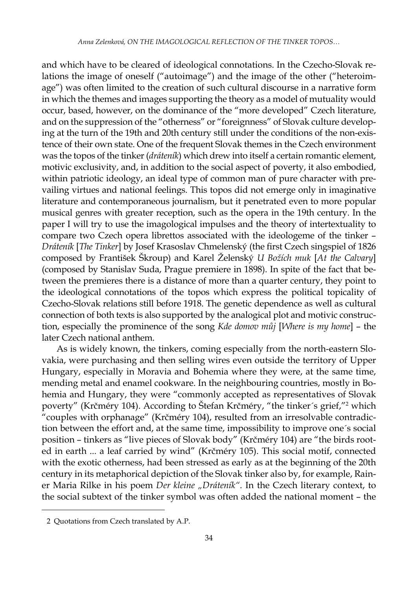and which have to be cleared of ideological connotations. In the Czecho-Slovak relations the image of oneself ("autoimage") and the image of the other ("heteroimage") was often limited to the creation of such cultural discourse in a narrative form in which the themes and images supporting the theory as a model of mutuality would occur, based, however, on the dominance of the "more developed" Czech literature, and on the suppression of the "otherness" or "foreignness" of Slovak culture developing at the turn of the 19th and 20th century still under the conditions of the non-existence of their own state. One of the frequent Slovak themes in the Czech environment was the topos of the tinker (*dráteník*) which drew into itself a certain romantic element, motivic exclusivity, and, in addition to the social aspect of poverty, it also embodied, within patriotic ideology, an ideal type of common man of pure character with prevailing virtues and national feelings. This topos did not emerge only in imaginative literature and contemporaneous journalism, but it penetrated even to more popular musical genres with greater reception, such as the opera in the 19th century. In the paper I will try to use the imagological impulses and the theory of intertextuality to compare two Czech opera librettos associated with the ideologeme of the tinker – *Dráteník* [*The Tinker*] by Josef Krasoslav Chmelenský (the first Czech singspiel of 1826 composed by František Škroup) and Karel Želenský *U Božích muk* [*At the Calvary*] (composed by Stanislav Suda, Prague premiere in 1898). In spite of the fact that between the premieres there is a distance of more than a quarter century, they point to the ideological connotations of the topos which express the political topicality of Czecho-Slovak relations still before 1918. The genetic dependence as well as cultural connection of both texts is also supported by the analogical plot and motivic construction, especially the prominence of the song *Kde domov můj* [*Where is my home*] – the later Czech national anthem.

As is widely known, the tinkers, coming especially from the north-eastern Slovakia, were purchasing and then selling wires even outside the territory of Upper Hungary, especially in Moravia and Bohemia where they were, at the same time, mending metal and enamel cookware. In the neighbouring countries, mostly in Bohemia and Hungary, they were "commonly accepted as representatives of Slovak poverty" (Krčméry 104). According to Stefan Krčméry, "the tinker's grief,"<sup>2</sup> which "couples with orphanage" (Krčméry 104), resulted from an irresolvable contradiction between the effort and, at the same time, impossibility to improve one´s social position – tinkers as "live pieces of Slovak body" (Krčméry 104) are "the birds rooted in earth ... a leaf carried by wind" (Krčméry 105). This social motif, connected with the exotic otherness, had been stressed as early as at the beginning of the 20th century in its metaphorical depiction of the Slovak tinker also by, for example, Rainer Maria Rilke in his poem *Der kleine "Dráteník".* In the Czech literary context, to the social subtext of the tinker symbol was often added the national moment – the

<sup>2</sup> Quotations from Czech translated by A.P.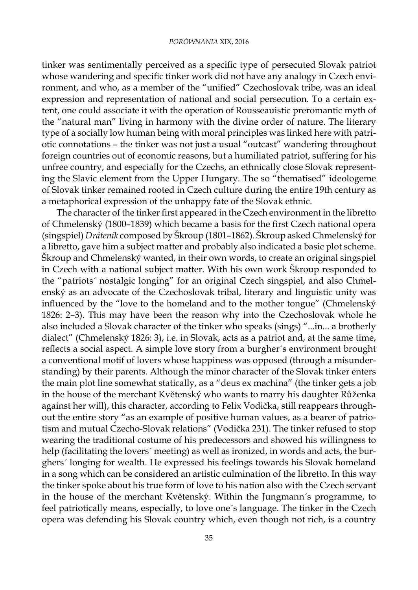tinker was sentimentally perceived as a specific type of persecuted Slovak patriot whose wandering and specific tinker work did not have any analogy in Czech environment, and who, as a member of the "unified" Czechoslovak tribe, was an ideal expression and representation of national and social persecution. To a certain extent, one could associate it with the operation of Rousseauistic preromantic myth of the "natural man" living in harmony with the divine order of nature. The literary type of a socially low human being with moral principles was linked here with patriotic connotations – the tinker was not just a usual "outcast" wandering throughout foreign countries out of economic reasons, but a humiliated patriot, suffering for his unfree country, and especially for the Czechs, an ethnically close Slovak representing the Slavic element from the Upper Hungary. The so "thematised" ideologeme of Slovak tinker remained rooted in Czech culture during the entire 19th century as a metaphorical expression of the unhappy fate of the Slovak ethnic.

The character of the tinker first appeared in the Czech environment in the libretto of Chmelenský (1800–1839) which became a basis for the first Czech national opera (singspiel) *Dráteník* composed by Škroup (1801–1862). Škroup asked Chmelenský for a libretto, gave him a subject matter and probably also indicated a basic plot scheme. Škroup and Chmelenský wanted, in their own words, to create an original singspiel in Czech with a national subject matter. With his own work Škroup responded to the "patriots´ nostalgic longing" for an original Czech singspiel, and also Chmelenský as an advocate of the Czechoslovak tribal, literary and linguistic unity was influenced by the "love to the homeland and to the mother tongue" (Chmelenský 1826: 2–3). This may have been the reason why into the Czechoslovak whole he also included a Slovak character of the tinker who speaks (sings) "...in... a brotherly dialect" (Chmelenský 1826: 3), i.e. in Slovak, acts as a patriot and, at the same time, reflects a social aspect. A simple love story from a burgher´s environment brought a conventional motif of lovers whose happiness was opposed (through a misunderstanding) by their parents. Although the minor character of the Slovak tinker enters the main plot line somewhat statically, as a "deus ex machina" (the tinker gets a job in the house of the merchant Květenský who wants to marry his daughter Růženka against her will), this character, according to Felix Vodička, still reappears throughout the entire story "as an example of positive human values, as a bearer of patriotism and mutual Czecho-Slovak relations" (Vodička 231). The tinker refused to stop wearing the traditional costume of his predecessors and showed his willingness to help (facilitating the lovers´ meeting) as well as ironized, in words and acts, the burghers´ longing for wealth. He expressed his feelings towards his Slovak homeland in a song which can be considered an artistic culmination of the libretto. In this way the tinker spoke about his true form of love to his nation also with the Czech servant in the house of the merchant Květenský. Within the Jungmann´s programme, to feel patriotically means, especially, to love one´s language. The tinker in the Czech opera was defending his Slovak country which, even though not rich, is a country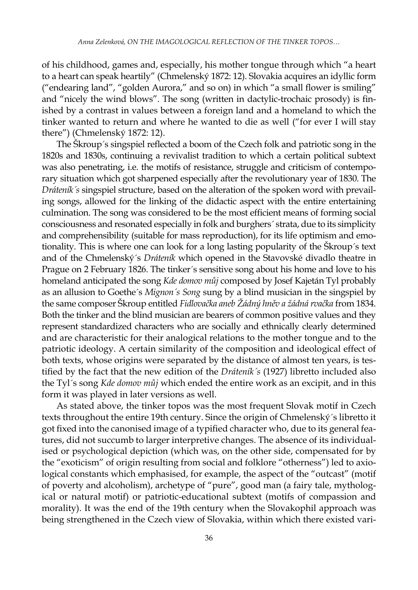of his childhood, games and, especially, his mother tongue through which "a heart to a heart can speak heartily" (Chmelenský 1872: 12). Slovakia acquires an idyllic form ("endearing land", "golden Aurora," and so on) in which "a small flower is smiling" and "nicely the wind blows". The song (written in dactylic-trochaic prosody) is finished by a contrast in values between a foreign land and a homeland to which the tinker wanted to return and where he wanted to die as well ("for ever I will stay there") (Chmelenský 1872: 12).

The Škroup´s singspiel reflected a boom of the Czech folk and patriotic song in the 1820s and 1830s, continuing a revivalist tradition to which a certain political subtext was also penetrating, i.e. the motifs of resistance, struggle and criticism of contemporary situation which got sharpened especially after the revolutionary year of 1830. The *Dráteník´s* singspiel structure, based on the alteration of the spoken word with prevailing songs, allowed for the linking of the didactic aspect with the entire entertaining culmination. The song was considered to be the most efficient means of forming social consciousness and resonated especially in folk and burghers´ strata, due to its simplicity and comprehensibility (suitable for mass reproduction), for its life optimism and emotionality. This is where one can look for a long lasting popularity of the Škroup´s text and of the Chmelenský´s *Dráteník* which opened in the Stavovské divadlo theatre in Prague on 2 February 1826. The tinker´s sensitive song about his home and love to his homeland anticipated the song *Kde domov můj* composed by Josef Kajetán Tyl probably as an allusion to Goethe´s *Mignon´s Song* sung by a blind musician in the singspiel by the same composer Škroup entitled *Fidlovačka aneb Žádný hněv a žádná rvačka* from 1834. Both the tinker and the blind musician are bearers of common positive values and they represent standardized characters who are socially and ethnically clearly determined and are characteristic for their analogical relations to the mother tongue and to the patriotic ideology. A certain similarity of the composition and ideological effect of both texts, whose origins were separated by the distance of almost ten years, is testified by the fact that the new edition of the *Dráteník´s* (1927) libretto included also the Tyl´s song *Kde domov můj* which ended the entire work as an excipit, and in this form it was played in later versions as well.

As stated above, the tinker topos was the most frequent Slovak motif in Czech texts throughout the entire 19th century. Since the origin of Chmelenský´s libretto it got fixed into the canonised image of a typified character who, due to its general features, did not succumb to larger interpretive changes. The absence of its individualised or psychological depiction (which was, on the other side, compensated for by the "exoticism" of origin resulting from social and folklore "otherness") led to axiological constants which emphasised, for example, the aspect of the "outcast" (motif of poverty and alcoholism), archetype of "pure", good man (a fairy tale, mythological or natural motif) or patriotic-educational subtext (motifs of compassion and morality). It was the end of the 19th century when the Slovakophil approach was being strengthened in the Czech view of Slovakia, within which there existed vari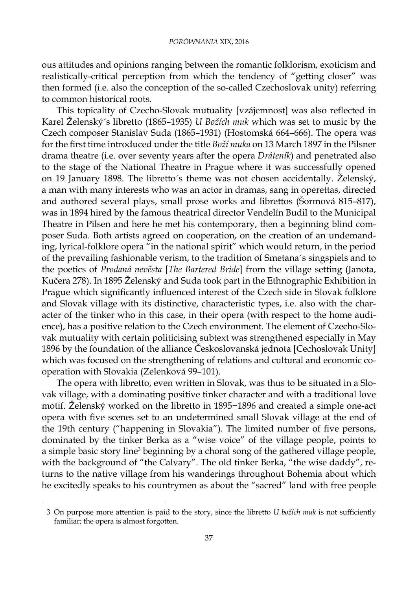ous attitudes and opinions ranging between the romantic folklorism, exoticism and realistically-critical perception from which the tendency of "getting closer" was then formed (i.e. also the conception of the so-called Czechoslovak unity) referring to common historical roots.

This topicality of Czecho-Slovak mutuality [vzájemnost] was also reflected in Karel Želenský´s libretto (1865–1935) *U Božích muk* which was set to music by the Czech composer Stanislav Suda (1865–1931) (Hostomská 664–666). The opera was for the first time introduced under the title *Boží muka* on 13 March 1897 in the Pilsner drama theatre (i.e. over seventy years after the opera *Dráteník*) and penetrated also to the stage of the National Theatre in Prague where it was successfully opened on 19 January 1898. The libretto´s theme was not chosen accidentally. Želenský, a man with many interests who was an actor in dramas, sang in operettas, directed and authored several plays, small prose works and librettos (Šormová 815–817), was in 1894 hired by the famous theatrical director Vendelín Budil to the Municipal Theatre in Pilsen and here he met his contemporary, then a beginning blind composer Suda. Both artists agreed on cooperation, on the creation of an undemanding, lyrical-folklore opera "in the national spirit" which would return, in the period of the prevailing fashionable verism, to the tradition of Smetana´s singspiels and to the poetics of *Prodaná nevěsta* [*The Bartered Bride*] from the village setting (Janota, Kučera 278). In 1895 Želenský and Suda took part in the Ethnographic Exhibition in Prague which significantly influenced interest of the Czech side in Slovak folklore and Slovak village with its distinctive, characteristic types, i.e. also with the character of the tinker who in this case, in their opera (with respect to the home audience), has a positive relation to the Czech environment. The element of Czecho-Slovak mutuality with certain politicising subtext was strengthened especially in May 1896 by the foundation of the alliance Českoslovanská jednota [Cechoslovak Unity] which was focused on the strengthening of relations and cultural and economic cooperation with Slovakia (Zelenková 99–101).

The opera with libretto, even written in Slovak, was thus to be situated in a Slovak village, with a dominating positive tinker character and with a traditional love motif. Želenský worked on the libretto in 1895−1896 and created a simple one-act opera with five scenes set to an undetermined small Slovak village at the end of the 19th century ("happening in Slovakia"). The limited number of five persons, dominated by the tinker Berka as a "wise voice" of the village people, points to a simple basic story line<sup>3</sup> beginning by a choral song of the gathered village people, with the background of "the Calvary". The old tinker Berka, "the wise daddy", returns to the native village from his wanderings throughout Bohemia about which he excitedly speaks to his countrymen as about the "sacred" land with free people

<sup>3</sup> On purpose more attention is paid to the story, since the libretto *U božích muk* is not sufficiently familiar; the opera is almost forgotten.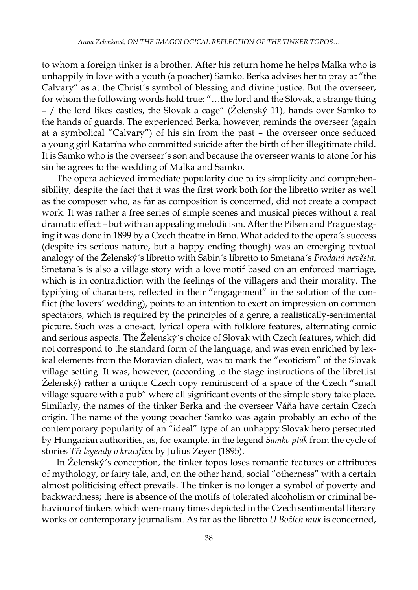to whom a foreign tinker is a brother. After his return home he helps Malka who is unhappily in love with a youth (a poacher) Samko. Berka advises her to pray at "the Calvary" as at the Christ´s symbol of blessing and divine justice. But the overseer, for whom the following words hold true: "…the lord and the Slovak, a strange thing – / the lord likes castles, the Slovak a cage" (Želenský 11), hands over Samko to the hands of guards. The experienced Berka, however, reminds the overseer (again at a symbolical "Calvary") of his sin from the past – the overseer once seduced a young girl Katarína who committed suicide after the birth of her illegitimate child. It is Samko who is the overseer´s son and because the overseer wants to atone for his sin he agrees to the wedding of Malka and Samko.

The opera achieved immediate popularity due to its simplicity and comprehensibility, despite the fact that it was the first work both for the libretto writer as well as the composer who, as far as composition is concerned, did not create a compact work. It was rather a free series of simple scenes and musical pieces without a real dramatic effect – but with an appealing melodicism. After the Pilsen and Prague staging it was done in 1899 by a Czech theatre in Brno. What added to the opera´s success (despite its serious nature, but a happy ending though) was an emerging textual analogy of the Želenský´s libretto with Sabin´s libretto to Smetana´s *Prodaná nevěsta*. Smetana´s is also a village story with a love motif based on an enforced marriage, which is in contradiction with the feelings of the villagers and their morality. The typifying of characters, reflected in their "engagement" in the solution of the conflict (the lovers´ wedding), points to an intention to exert an impression on common spectators, which is required by the principles of a genre, a realistically-sentimental picture. Such was a one-act, lyrical opera with folklore features, alternating comic and serious aspects. The Želenský´s choice of Slovak with Czech features, which did not correspond to the standard form of the language, and was even enriched by lexical elements from the Moravian dialect, was to mark the "exoticism" of the Slovak village setting. It was, however, (according to the stage instructions of the librettist Želenský) rather a unique Czech copy reminiscent of a space of the Czech "small village square with a pub" where all significant events of the simple story take place. Similarly, the names of the tinker Berka and the overseer Váňa have certain Czech origin. The name of the young poacher Samko was again probably an echo of the contemporary popularity of an "ideal" type of an unhappy Slovak hero persecuted by Hungarian authorities, as, for example, in the legend *Samko pták* from the cycle of stories *Tři legendy o krucifixu* by Julius Zeyer (1895).

In Želenský´s conception, the tinker topos loses romantic features or attributes of mythology, or fairy tale, and, on the other hand, social "otherness" with a certain almost politicising effect prevails. The tinker is no longer a symbol of poverty and backwardness; there is absence of the motifs of tolerated alcoholism or criminal behaviour of tinkers which were many times depicted in the Czech sentimental literary works or contemporary journalism. As far as the libretto *U Božích muk* is concerned,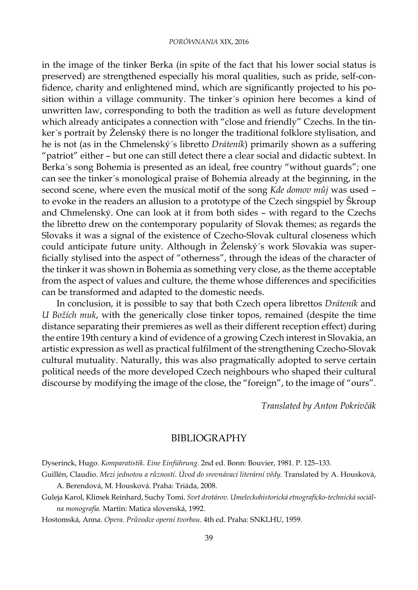## *PORÓWNANIA* XIX, 2016

in the image of the tinker Berka (in spite of the fact that his lower social status is preserved) are strengthened especially his moral qualities, such as pride, self-confidence, charity and enlightened mind, which are significantly projected to his position within a village community. The tinker´s opinion here becomes a kind of unwritten law, corresponding to both the tradition as well as future development which already anticipates a connection with "close and friendly" Czechs. In the tinker´s portrait by Želenský there is no longer the traditional folklore stylisation, and he is not (as in the Chmelenský´s libretto *Dráteník*) primarily shown as a suffering "patriot" either – but one can still detect there a clear social and didactic subtext. In Berka´s song Bohemia is presented as an ideal, free country "without guards"; one can see the tinker´s monological praise of Bohemia already at the beginning, in the second scene, where even the musical motif of the song *Kde domov můj* was used – to evoke in the readers an allusion to a prototype of the Czech singspiel by Škroup and Chmelenský. One can look at it from both sides – with regard to the Czechs the libretto drew on the contemporary popularity of Slovak themes; as regards the Slovaks it was a signal of the existence of Czecho-Slovak cultural closeness which could anticipate future unity. Although in Želenský´s work Slovakia was superficially stylised into the aspect of "otherness", through the ideas of the character of the tinker it was shown in Bohemia as something very close, as the theme acceptable from the aspect of values and culture, the theme whose differences and specificities can be transformed and adapted to the domestic needs.

In conclusion, it is possible to say that both Czech opera librettos *Dráteník* and *U Božích muk*, with the generically close tinker topos, remained (despite the time distance separating their premieres as well as their different reception effect) during the entire 19th century a kind of evidence of a growing Czech interest in Slovakia, an artistic expression as well as practical fulfilment of the strengthening Czecho-Slovak cultural mutuality. Naturally, this was also pragmatically adopted to serve certain political needs of the more developed Czech neighbours who shaped their cultural discourse by modifying the image of the close, the "foreign", to the image of "ours".

*Translated by Anton Pokrivčák*

## BIBLIOGRAPHY

Dyserinck, Hugo. *Komparatistik. Eine Einführung*. 2nd ed. Bonn: Bouvier, 1981. P. 125–133.

- Guillén, Claudio. *Mezi jednotou a růzností. Úvod do srovnávací literární vědy.* Translated by A. Housková, A. Berendová, M. Housková. Praha: Triáda, 2008.
- Guleja Karol, Klimek Reinhard, Suchy Tomi. *Svet drotárov. Umeleckohistorická etnograficko-technická sociálna monografia.* Martin: Matica slovenská, 1992.

Hostomská, Anna. *Opera. Průvodce operní tvorbou*. 4th ed. Praha: SNKLHU, 1959.